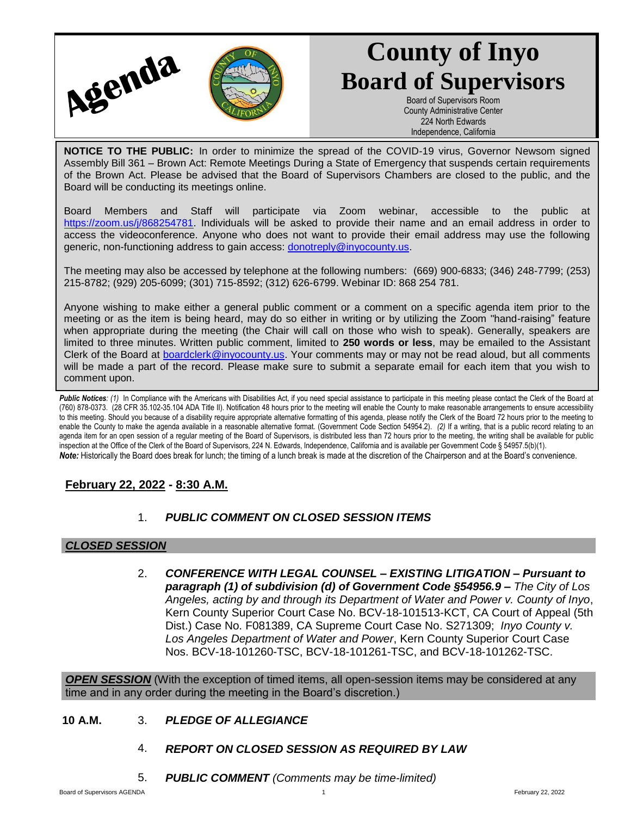

# **County of Inyo Board of Supervisors**

Board of Supervisors Room County Administrative Center 224 North Edwards Independence, California

**NOTICE TO THE PUBLIC:** In order to minimize the spread of the COVID-19 virus, Governor Newsom signed Assembly Bill 361 – Brown Act: Remote Meetings During a State of Emergency that suspends certain requirements of the Brown Act. Please be advised that the Board of Supervisors Chambers are closed to the public, and the Board will be conducting its meetings online.

Board Members and Staff will participate via Zoom webinar, accessible to the public at [https://zoom.us/j/868254781.](https://zoom.us/j/868254781) Individuals will be asked to provide their name and an email address in order to access the videoconference. Anyone who does not want to provide their email address may use the following generic, non-functioning address to gain access: [donotreply@inyocounty.us.](mailto:donotreply@inyocounty.us)

The meeting may also be accessed by telephone at the following numbers: (669) 900-6833; (346) 248-7799; (253) 215-8782; (929) 205-6099; (301) 715-8592; (312) 626-6799. Webinar ID: 868 254 781.

Anyone wishing to make either a general public comment or a comment on a specific agenda item prior to the meeting or as the item is being heard, may do so either in writing or by utilizing the Zoom "hand-raising" feature when appropriate during the meeting (the Chair will call on those who wish to speak). Generally, speakers are limited to three minutes. Written public comment, limited to **250 words or less**, may be emailed to the Assistant Clerk of the Board at [boardclerk@inyocounty.us.](mailto:boardclerk@inyocounty.us) Your comments may or may not be read aloud, but all comments will be made a part of the record. Please make sure to submit a separate email for each item that you wish to comment upon.

Public Notices: (1) In Compliance with the Americans with Disabilities Act, if you need special assistance to participate in this meeting please contact the Clerk of the Board at (760) 878-0373. (28 CFR 35.102-35.104 ADA Title II). Notification 48 hours prior to the meeting will enable the County to make reasonable arrangements to ensure accessibility to this meeting. Should you because of a disability require appropriate alternative formatting of this agenda, please notify the Clerk of the Board 72 hours prior to the meeting to enable the County to make the agenda available in a reasonable alternative format. (Government Code Section 54954.2). *(2)* If a writing, that is a public record relating to an agenda item for an open session of a regular meeting of the Board of Supervisors, is distributed less than 72 hours prior to the meeting, the writing shall be available for public inspection at the Office of the Clerk of the Board of Supervisors, 224 N. Edwards, Independence, California and is available per Government Code § 54957.5(b)(1). *Note:* Historically the Board does break for lunch; the timing of a lunch break is made at the discretion of the Chairperson and at the Board's convenience.

# **February 22, 2022 - 8:30 A.M.**

# 1. *PUBLIC COMMENT ON CLOSED SESSION ITEMS*

## *CLOSED SESSION*

2. *CONFERENCE WITH LEGAL COUNSEL – EXISTING LITIGATION – Pursuant to paragraph (1) of subdivision (d) of Government Code §54956.9 – The City of Los Angeles, acting by and through its Department of Water and Power v. County of Inyo*, Kern County Superior Court Case No. BCV-18-101513-KCT, CA Court of Appeal (5th Dist.) Case No. F081389, CA Supreme Court Case No. S271309; *Inyo County v. Los Angeles Department of Water and Power*, Kern County Superior Court Case Nos. BCV-18-101260-TSC, BCV-18-101261-TSC, and BCV-18-101262-TSC.

**OPEN SESSION** (With the exception of timed items, all open-session items may be considered at any time and in any order during the meeting in the Board's discretion.)

## **10 A.M.** 3. *PLEDGE OF ALLEGIANCE*

- 4. *REPORT ON CLOSED SESSION AS REQUIRED BY LAW*
- 5. *PUBLIC COMMENT (Comments may be time-limited)*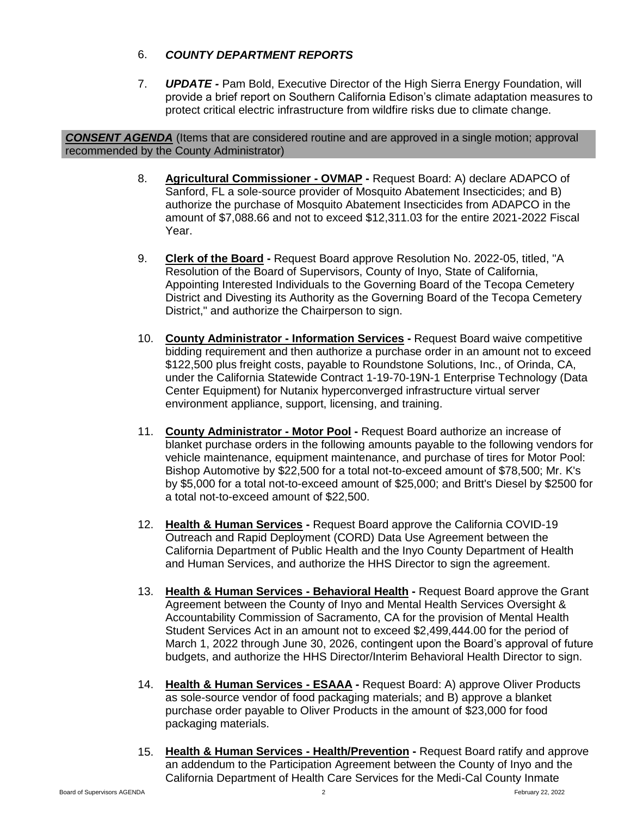# 6. *COUNTY DEPARTMENT REPORTS*

7. *UPDATE -* Pam Bold, Executive Director of the High Sierra Energy Foundation, will provide a brief report on Southern California Edison's climate adaptation measures to protect critical electric infrastructure from wildfire risks due to climate change.

*CONSENT AGENDA* (Items that are considered routine and are approved in a single motion; approval recommended by the County Administrator)

- 8. **Agricultural Commissioner - OVMAP -** Request Board: A) declare ADAPCO of Sanford, FL a sole-source provider of Mosquito Abatement Insecticides; and B) authorize the purchase of Mosquito Abatement Insecticides from ADAPCO in the amount of \$7,088.66 and not to exceed \$12,311.03 for the entire 2021-2022 Fiscal Year.
- 9. **Clerk of the Board -** Request Board approve Resolution No. 2022-05, titled, "A Resolution of the Board of Supervisors, County of Inyo, State of California, Appointing Interested Individuals to the Governing Board of the Tecopa Cemetery District and Divesting its Authority as the Governing Board of the Tecopa Cemetery District," and authorize the Chairperson to sign.
- 10. **County Administrator - Information Services -** Request Board waive competitive bidding requirement and then authorize a purchase order in an amount not to exceed \$122,500 plus freight costs, payable to Roundstone Solutions, Inc., of Orinda, CA, under the California Statewide Contract 1-19-70-19N-1 Enterprise Technology (Data Center Equipment) for Nutanix hyperconverged infrastructure virtual server environment appliance, support, licensing, and training.
- 11. **County Administrator - Motor Pool -** Request Board authorize an increase of blanket purchase orders in the following amounts payable to the following vendors for vehicle maintenance, equipment maintenance, and purchase of tires for Motor Pool: Bishop Automotive by \$22,500 for a total not-to-exceed amount of \$78,500; Mr. K's by \$5,000 for a total not-to-exceed amount of \$25,000; and Britt's Diesel by \$2500 for a total not-to-exceed amount of \$22,500.
- 12. **Health & Human Services -** Request Board approve the California COVID-19 Outreach and Rapid Deployment (CORD) Data Use Agreement between the California Department of Public Health and the Inyo County Department of Health and Human Services, and authorize the HHS Director to sign the agreement.
- 13. **Health & Human Services - Behavioral Health -** Request Board approve the Grant Agreement between the County of Inyo and Mental Health Services Oversight & Accountability Commission of Sacramento, CA for the provision of Mental Health Student Services Act in an amount not to exceed \$2,499,444.00 for the period of March 1, 2022 through June 30, 2026, contingent upon the Board's approval of future budgets, and authorize the HHS Director/Interim Behavioral Health Director to sign.
- 14. **Health & Human Services - ESAAA -** Request Board: A) approve Oliver Products as sole-source vendor of food packaging materials; and B) approve a blanket purchase order payable to Oliver Products in the amount of \$23,000 for food packaging materials.
- 15. **Health & Human Services - Health/Prevention -** Request Board ratify and approve an addendum to the Participation Agreement between the County of Inyo and the California Department of Health Care Services for the Medi-Cal County Inmate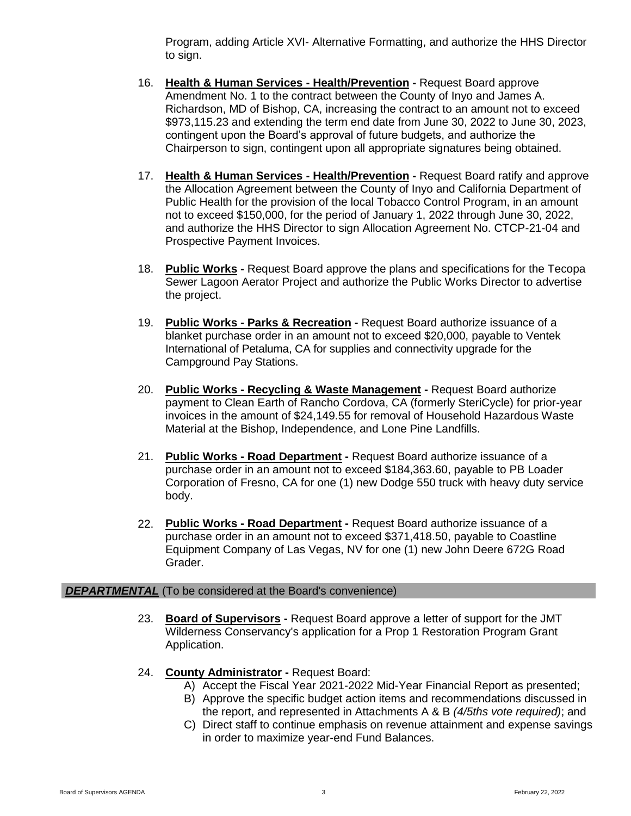Program, adding Article XVI- Alternative Formatting, and authorize the HHS Director to sign.

- 16. **Health & Human Services - Health/Prevention -** Request Board approve Amendment No. 1 to the contract between the County of Inyo and James A. Richardson, MD of Bishop, CA, increasing the contract to an amount not to exceed \$973,115.23 and extending the term end date from June 30, 2022 to June 30, 2023, contingent upon the Board's approval of future budgets, and authorize the Chairperson to sign, contingent upon all appropriate signatures being obtained.
- 17. **Health & Human Services - Health/Prevention -** Request Board ratify and approve the Allocation Agreement between the County of Inyo and California Department of Public Health for the provision of the local Tobacco Control Program, in an amount not to exceed \$150,000, for the period of January 1, 2022 through June 30, 2022, and authorize the HHS Director to sign Allocation Agreement No. CTCP-21-04 and Prospective Payment Invoices.
- 18. **Public Works -** Request Board approve the plans and specifications for the Tecopa Sewer Lagoon Aerator Project and authorize the Public Works Director to advertise the project.
- 19. **Public Works - Parks & Recreation -** Request Board authorize issuance of a blanket purchase order in an amount not to exceed \$20,000, payable to Ventek International of Petaluma, CA for supplies and connectivity upgrade for the Campground Pay Stations.
- 20. **Public Works - Recycling & Waste Management -** Request Board authorize payment to Clean Earth of Rancho Cordova, CA (formerly SteriCycle) for prior-year invoices in the amount of \$24,149.55 for removal of Household Hazardous Waste Material at the Bishop, Independence, and Lone Pine Landfills.
- 21. **Public Works - Road Department -** Request Board authorize issuance of a purchase order in an amount not to exceed \$184,363.60, payable to PB Loader Corporation of Fresno, CA for one (1) new Dodge 550 truck with heavy duty service body.
- 22. **Public Works - Road Department -** Request Board authorize issuance of a purchase order in an amount not to exceed \$371,418.50, payable to Coastline Equipment Company of Las Vegas, NV for one (1) new John Deere 672G Road Grader.

## **DEPARTMENTAL** (To be considered at the Board's convenience)

- 23. **Board of Supervisors -** Request Board approve a letter of support for the JMT Wilderness Conservancy's application for a Prop 1 Restoration Program Grant Application.
- 24. **County Administrator -** Request Board:
	- A) Accept the Fiscal Year 2021-2022 Mid-Year Financial Report as presented;
	- B) Approve the specific budget action items and recommendations discussed in the report, and represented in Attachments A & B *(4/5ths vote required)*; and
	- C) Direct staff to continue emphasis on revenue attainment and expense savings in order to maximize year-end Fund Balances.